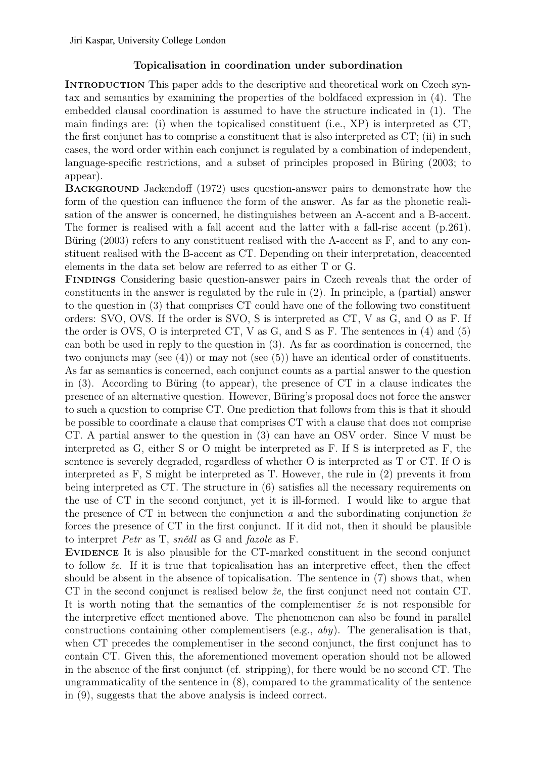## Topicalisation in coordination under subordination

INTRODUCTION This paper adds to the descriptive and theoretical work on Czech syntax and semantics by examining the properties of the boldfaced expression in (4). The embedded clausal coordination is assumed to have the structure indicated in (1). The main findings are: (i) when the topicalised constituent (i.e., XP) is interpreted as CT, the first conjunct has to comprise a constituent that is also interpreted as CT; (ii) in such cases, the word order within each conjunct is regulated by a combination of independent, language-specific restrictions, and a subset of principles proposed in Büring (2003; to appear).

Background Jackendoff (1972) uses question-answer pairs to demonstrate how the form of the question can influence the form of the answer. As far as the phonetic realisation of the answer is concerned, he distinguishes between an A-accent and a B-accent. The former is realised with a fall accent and the latter with a fall-rise accent (p.261). Büring (2003) refers to any constituent realised with the A-accent as F, and to any constituent realised with the B-accent as CT. Depending on their interpretation, deaccented elements in the data set below are referred to as either T or G.

Findings Considering basic question-answer pairs in Czech reveals that the order of constituents in the answer is regulated by the rule in (2). In principle, a (partial) answer to the question in (3) that comprises CT could have one of the following two constituent orders: SVO, OVS. If the order is SVO, S is interpreted as CT, V as G, and O as F. If the order is OVS, O is interpreted CT, V as G, and S as F. The sentences in (4) and (5) can both be used in reply to the question in (3). As far as coordination is concerned, the two conjuncts may (see  $(4)$ ) or may not (see  $(5)$ ) have an identical order of constituents. As far as semantics is concerned, each conjunct counts as a partial answer to the question in (3). According to Büring (to appear), the presence of CT in a clause indicates the presence of an alternative question. However, Büring's proposal does not force the answer to such a question to comprise CT. One prediction that follows from this is that it should be possible to coordinate a clause that comprises CT with a clause that does not comprise CT. A partial answer to the question in (3) can have an OSV order. Since V must be interpreted as G, either S or O might be interpreted as F. If S is interpreted as F, the sentence is severely degraded, regardless of whether O is interpreted as T or CT. If O is interpreted as F, S might be interpreted as T. However, the rule in (2) prevents it from being interpreted as CT. The structure in (6) satisfies all the necessary requirements on the use of CT in the second conjunct, yet it is ill-formed. I would like to argue that the presence of CT in between the conjunction *a* and the subordinating conjunction ž*e* forces the presence of CT in the first conjunct. If it did not, then it should be plausible to interpret *Petr* as T, *sn*ě*dl* as G and *fazole* as F.

Evidence It is also plausible for the CT-marked constituent in the second conjunct to follow ž*e*. If it is true that topicalisation has an interpretive effect, then the effect should be absent in the absence of topicalisation. The sentence in (7) shows that, when CT in the second conjunct is realised below ž*e*, the first conjunct need not contain CT. It is worth noting that the semantics of the complementiser ž*e* is not responsible for the interpretive effect mentioned above. The phenomenon can also be found in parallel constructions containing other complementisers (e.g., *aby*). The generalisation is that, when CT precedes the complementiser in the second conjunct, the first conjunct has to contain CT. Given this, the aforementioned movement operation should not be allowed in the absence of the first conjunct (cf. stripping), for there would be no second CT. The ungrammaticality of the sentence in (8), compared to the grammaticality of the sentence in (9), suggests that the above analysis is indeed correct.